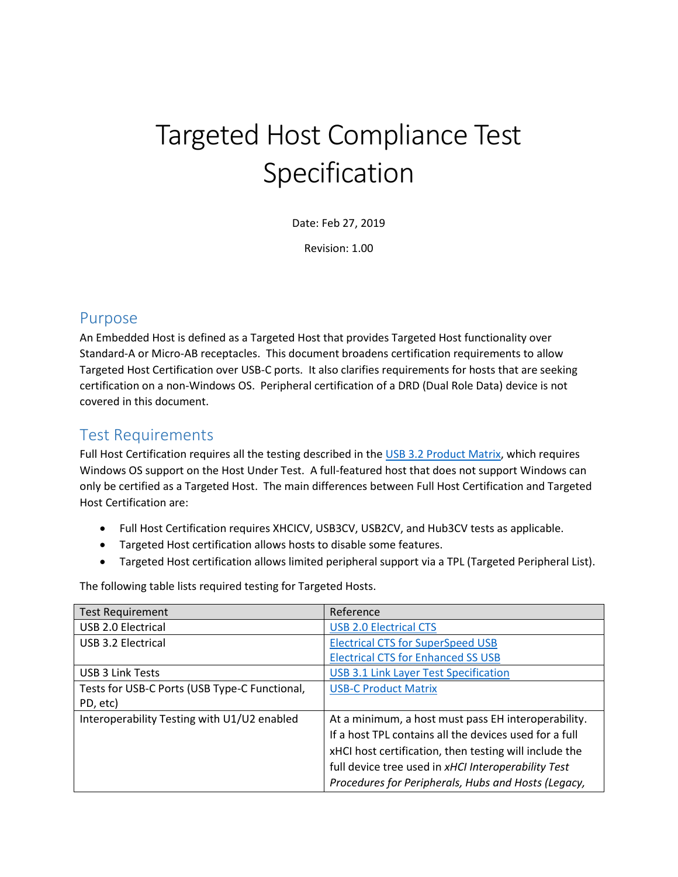# Targeted Host Compliance Test Specification

Date: Feb 27, 2019

Revision: 1.00

### Purpose

An Embedded Host is defined as a Targeted Host that provides Targeted Host functionality over Standard-A or Micro-AB receptacles. This document broadens certification requirements to allow Targeted Host Certification over USB-C ports. It also clarifies requirements for hosts that are seeking certification on a non-Windows OS. Peripheral certification of a DRD (Dual Role Data) device is not covered in this document.

## Test Requirements

Full Host Certification requires all the testing described in the [USB 3.2 Product Matrix,](https://usb.org/sites/default/files/USB%203.2%20Test%20Matrix.pdf) which requires Windows OS support on the Host Under Test. A full-featured host that does not support Windows can only be certified as a Targeted Host. The main differences between Full Host Certification and Targeted Host Certification are:

- Full Host Certification requires XHCICV, USB3CV, USB2CV, and Hub3CV tests as applicable.
- Targeted Host certification allows hosts to disable some features.
- Targeted Host certification allows limited peripheral support via a TPL (Targeted Peripheral List).

The following table lists required testing for Targeted Hosts.

| <b>Test Requirement</b>                       | Reference                                              |
|-----------------------------------------------|--------------------------------------------------------|
| USB 2.0 Electrical                            | <b>USB 2.0 Electrical CTS</b>                          |
| USB 3.2 Electrical                            | <b>Electrical CTS for SuperSpeed USB</b>               |
|                                               | <b>Electrical CTS for Enhanced SS USB</b>              |
| USB 3 Link Tests                              | <b>USB 3.1 Link Layer Test Specification</b>           |
| Tests for USB-C Ports (USB Type-C Functional, | <b>USB-C Product Matrix</b>                            |
| PD, etc)                                      |                                                        |
| Interoperability Testing with U1/U2 enabled   | At a minimum, a host must pass EH interoperability.    |
|                                               | If a host TPL contains all the devices used for a full |
|                                               | xHCI host certification, then testing will include the |
|                                               | full device tree used in xHCI Interoperability Test    |
|                                               | Procedures for Peripherals, Hubs and Hosts (Legacy,    |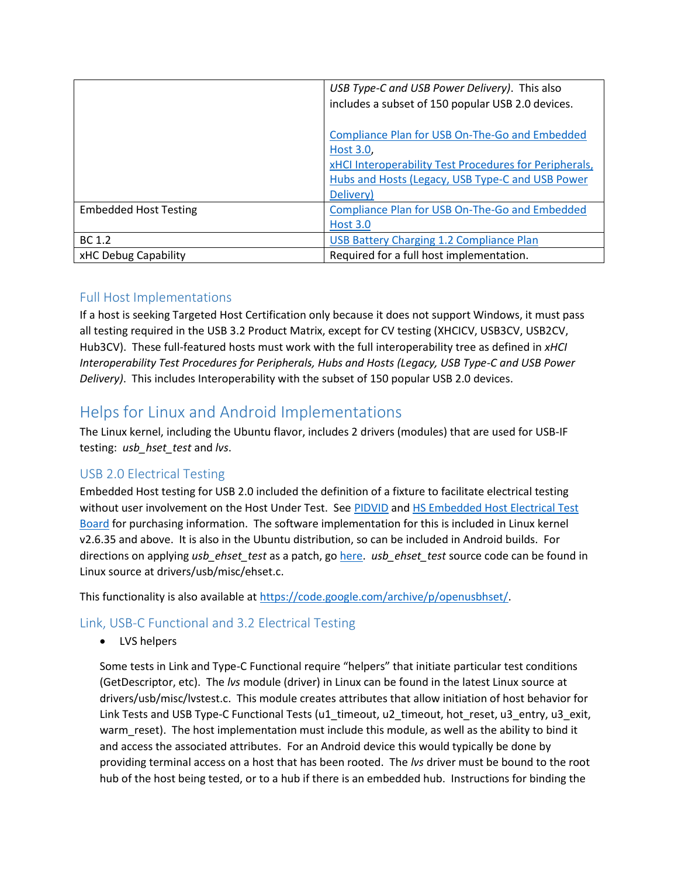|                              | USB Type-C and USB Power Delivery). This also          |
|------------------------------|--------------------------------------------------------|
|                              | includes a subset of 150 popular USB 2.0 devices.      |
|                              |                                                        |
|                              | Compliance Plan for USB On-The-Go and Embedded         |
|                              | Host 3.0.                                              |
|                              | xHCI Interoperability Test Procedures for Peripherals, |
|                              | Hubs and Hosts (Legacy, USB Type-C and USB Power       |
|                              | Delivery)                                              |
| <b>Embedded Host Testing</b> | Compliance Plan for USB On-The-Go and Embedded         |
|                              | <b>Host 3.0</b>                                        |
| BC 1.2                       | <b>USB Battery Charging 1.2 Compliance Plan</b>        |
| xHC Debug Capability         | Required for a full host implementation.               |

#### Full Host Implementations

If a host is seeking Targeted Host Certification only because it does not support Windows, it must pass all testing required in the USB 3.2 Product Matrix, except for CV testing (XHCICV, USB3CV, USB2CV, Hub3CV). These full-featured hosts must work with the full interoperability tree as defined in *xHCI Interoperability Test Procedures for Peripherals, Hubs and Hosts (Legacy, USB Type-C and USB Power Delivery)*. This includes Interoperability with the subset of 150 popular USB 2.0 devices.

# Helps for Linux and Android Implementations

The Linux kernel, including the Ubuntu flavor, includes 2 drivers (modules) that are used for USB-IF testing: *usb\_hset\_test* and *lvs*.

#### USB 2.0 Electrical Testing

Embedded Host testing for USB 2.0 included the definition of a fixture to facilitate electrical testing without user involvement on the Host Under Test. See [PIDVID](http://www.testusb.com/shop.htm) an[d HS Embedded Host Electrical Test](https://www.allion.com/test_fixture/usb-a-b-high-speed-embedded/)  [Board](https://www.allion.com/test_fixture/usb-a-b-high-speed-embedded/) for purchasing information. The software implementation for this is included in Linux kernel v2.6.35 and above. It is also in the Ubuntu distribution, so can be included in Android builds. For directions on applying *usb\_ehset\_test* as a patch, go [here.](http://www.testusb.com/EHHS.html) *usb\_ehset\_test* source code can be found in Linux source at drivers/usb/misc/ehset.c.

This functionality is also available a[t https://code.google.com/archive/p/openusbhset/.](https://code.google.com/archive/p/openusbhset/)

#### Link, USB-C Functional and 3.2 Electrical Testing

• LVS helpers

Some tests in Link and Type-C Functional require "helpers" that initiate particular test conditions (GetDescriptor, etc). The *lvs* module (driver) in Linux can be found in the latest Linux source at drivers/usb/misc/lvstest.c. This module creates attributes that allow initiation of host behavior for Link Tests and USB Type-C Functional Tests (u1\_timeout, u2\_timeout, hot\_reset, u3\_entry, u3\_exit, warm\_reset). The host implementation must include this module, as well as the ability to bind it and access the associated attributes. For an Android device this would typically be done by providing terminal access on a host that has been rooted. The *lvs* driver must be bound to the root hub of the host being tested, or to a hub if there is an embedded hub. Instructions for binding the